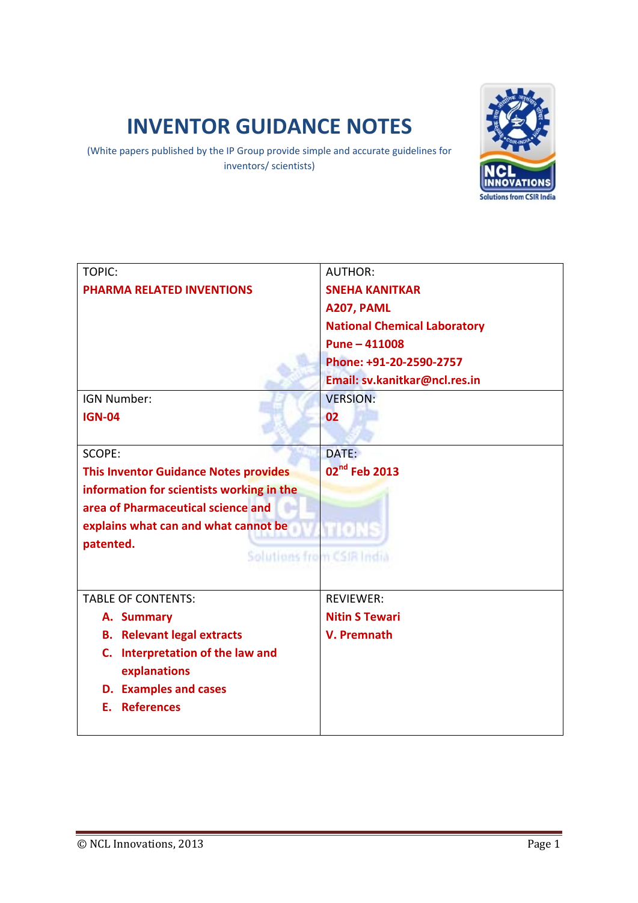# **INVENTOR GUIDANCE NOTES**

(White papers published by the IP Group provide simple and accurate guidelines for inventors/ scientists)



| TOPIC:                                           | <b>AUTHOR:</b>                      |
|--------------------------------------------------|-------------------------------------|
| <b>PHARMA RELATED INVENTIONS</b>                 | <b>SNEHA KANITKAR</b>               |
|                                                  | A207, PAML                          |
|                                                  | <b>National Chemical Laboratory</b> |
|                                                  | Pune - 411008                       |
|                                                  | Phone: +91-20-2590-2757             |
|                                                  | Email: sv.kanitkar@ncl.res.in       |
| <b>IGN Number:</b>                               | <b>VERSION:</b>                     |
| <b>IGN-04</b>                                    | 02                                  |
|                                                  |                                     |
| SCOPE:                                           | DATE:                               |
| <b>This Inventor Guidance Notes provides</b>     | 02 <sup>nd</sup> Feb 2013           |
| information for scientists working in the        |                                     |
| area of Pharmaceutical science and               |                                     |
| explains what can and what cannot be             | mons                                |
| patented.                                        |                                     |
| Solutions from CSIR India                        |                                     |
|                                                  |                                     |
| <b>TABLE OF CONTENTS:</b>                        | <b>REVIEWER:</b>                    |
| A. Summary                                       | <b>Nitin S Tewari</b>               |
| <b>B.</b> Relevant legal extracts                | V. Premnath                         |
| C. Interpretation of the law and<br>explanations |                                     |
| <b>D.</b> Examples and cases                     |                                     |
| E. References                                    |                                     |
|                                                  |                                     |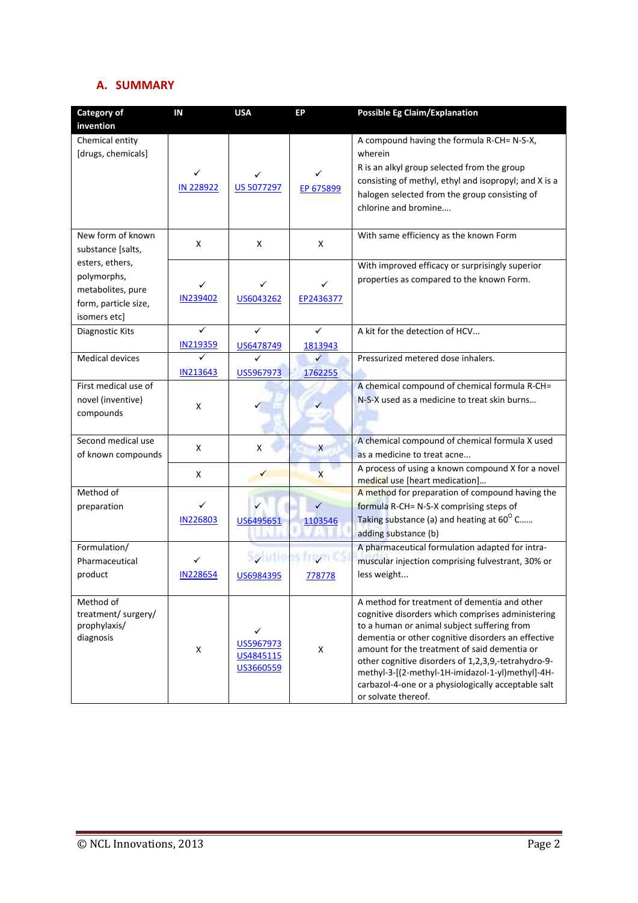# **A. SUMMARY**

| <b>Category of</b>                                                                          | IN                   | <b>USA</b>                               | EP                          | <b>Possible Eg Claim/Explanation</b>                                                                                                                                                                                                                                                                                                                                                                                                            |
|---------------------------------------------------------------------------------------------|----------------------|------------------------------------------|-----------------------------|-------------------------------------------------------------------------------------------------------------------------------------------------------------------------------------------------------------------------------------------------------------------------------------------------------------------------------------------------------------------------------------------------------------------------------------------------|
| invention                                                                                   |                      |                                          |                             |                                                                                                                                                                                                                                                                                                                                                                                                                                                 |
| Chemical entity<br>[drugs, chemicals]                                                       | IN 228922            | <b>US 5077297</b>                        | EP 675899                   | A compound having the formula R-CH= N-S-X,<br>wherein<br>R is an alkyl group selected from the group<br>consisting of methyl, ethyl and isopropyl; and X is a<br>halogen selected from the group consisting of<br>chlorine and bromine                                                                                                                                                                                                          |
| New form of known<br>substance [salts,                                                      | X                    | X                                        | X                           | With same efficiency as the known Form                                                                                                                                                                                                                                                                                                                                                                                                          |
| esters, ethers,<br>polymorphs,<br>metabolites, pure<br>form, particle size,<br>isomers etc] | ✓<br><b>IN239402</b> | ✓<br>US6043262                           | ✓<br>EP2436377              | With improved efficacy or surprisingly superior<br>properties as compared to the known Form.                                                                                                                                                                                                                                                                                                                                                    |
| Diagnostic Kits                                                                             | ✓<br>IN219359        | ✓<br>US6478749                           | ✓<br>1813943                | A kit for the detection of HCV                                                                                                                                                                                                                                                                                                                                                                                                                  |
| <b>Medical devices</b>                                                                      | ✓<br>IN213643        | US5967973                                | ✓<br>1762255                | Pressurized metered dose inhalers.                                                                                                                                                                                                                                                                                                                                                                                                              |
| First medical use of<br>novel (inventive)<br>compounds                                      | Χ                    |                                          |                             | A chemical compound of chemical formula R-CH=<br>N-S-X used as a medicine to treat skin burns                                                                                                                                                                                                                                                                                                                                                   |
| Second medical use<br>of known compounds                                                    | X                    | X                                        | X                           | A chemical compound of chemical formula X used<br>as a medicine to treat acne                                                                                                                                                                                                                                                                                                                                                                   |
|                                                                                             | X                    |                                          | $\mathsf{x}$                | A process of using a known compound X for a novel<br>medical use [heart medication]                                                                                                                                                                                                                                                                                                                                                             |
| Method of<br>preparation                                                                    | ✓<br><b>IN226803</b> | ✓<br>US6495651                           | 1103546                     | A method for preparation of compound having the<br>formula R-CH= N-S-X comprising steps of<br>Taking substance (a) and heating at 60° C<br>adding substance (b)                                                                                                                                                                                                                                                                                 |
| Formulation/<br>Pharmaceutical<br>product                                                   | ✓<br><b>IN228654</b> | US6984395                                | Solutions from CS<br>778778 | A pharmaceutical formulation adapted for intra-<br>muscular injection comprising fulvestrant, 30% or<br>less weight                                                                                                                                                                                                                                                                                                                             |
| Method of<br>treatment/ surgery/<br>prophylaxis/<br>diagnosis                               | X                    | ✓<br>US5967973<br>US4845115<br>US3660559 | X                           | A method for treatment of dementia and other<br>cognitive disorders which comprises administering<br>to a human or animal subject suffering from<br>dementia or other cognitive disorders an effective<br>amount for the treatment of said dementia or<br>other cognitive disorders of 1,2,3,9,-tetrahydro-9-<br>methyl-3-[(2-methyl-1H-imidazol-1-yl)methyl]-4H-<br>carbazol-4-one or a physiologically acceptable salt<br>or solvate thereof. |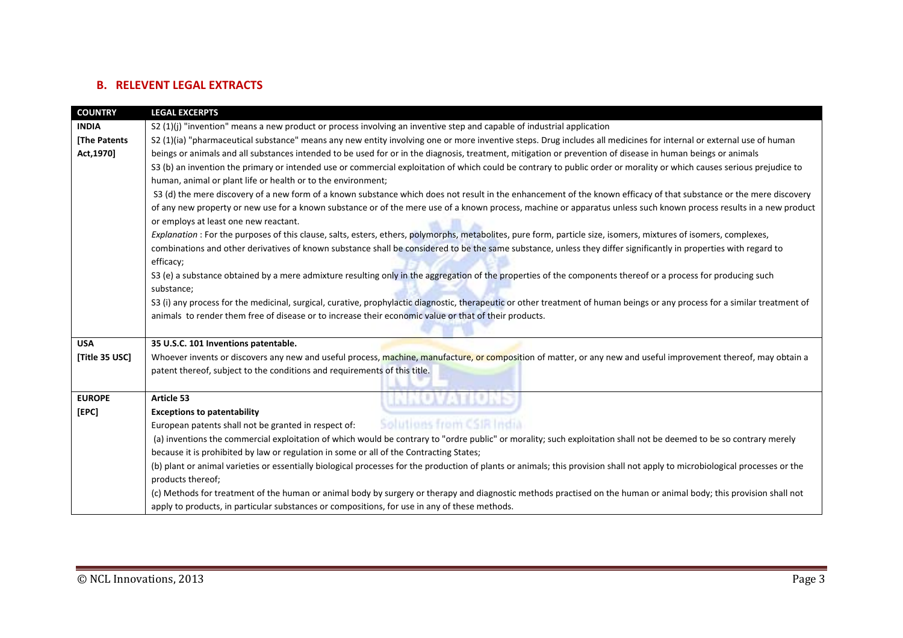# **B. RELEVENT LEGAL EXTRACTS**

| <b>COUNTRY</b>     | <b>LEGAL EXCERPTS</b>                                                                                                                                                          |  |  |
|--------------------|--------------------------------------------------------------------------------------------------------------------------------------------------------------------------------|--|--|
| <b>INDIA</b>       | S2 (1)(j) "invention" means a new product or process involving an inventive step and capable of industrial application                                                         |  |  |
| <b>The Patents</b> | S2 (1)(ia) "pharmaceutical substance" means any new entity involving one or more inventive steps. Drug includes all medicines for internal or external use of human            |  |  |
| Act, 1970]         | beings or animals and all substances intended to be used for or in the diagnosis, treatment, mitigation or prevention of disease in human beings or animals                    |  |  |
|                    | S3 (b) an invention the primary or intended use or commercial exploitation of which could be contrary to public order or morality or which causes serious prejudice to         |  |  |
|                    | human, animal or plant life or health or to the environment;                                                                                                                   |  |  |
|                    | S3 (d) the mere discovery of a new form of a known substance which does not result in the enhancement of the known efficacy of that substance or the mere discovery            |  |  |
|                    | of any new property or new use for a known substance or of the mere use of a known process, machine or apparatus unless such known process results in a new product            |  |  |
|                    | or employs at least one new reactant.                                                                                                                                          |  |  |
|                    | Explanation : For the purposes of this clause, salts, esters, ethers, polymorphs, metabolites, pure form, particle size, isomers, mixtures of isomers, complexes,              |  |  |
|                    | combinations and other derivatives of known substance shall be considered to be the same substance, unless they differ significantly in properties with regard to<br>efficacy; |  |  |
|                    | S3 (e) a substance obtained by a mere admixture resulting only in the aggregation of the properties of the components thereof or a process for producing such                  |  |  |
|                    | substance;                                                                                                                                                                     |  |  |
|                    | S3 (i) any process for the medicinal, surgical, curative, prophylactic diagnostic, therapeutic or other treatment of human beings or any process for a similar treatment of    |  |  |
|                    | animals to render them free of disease or to increase their economic value or that of their products.                                                                          |  |  |
|                    |                                                                                                                                                                                |  |  |
| <b>USA</b>         | 35 U.S.C. 101 Inventions patentable.                                                                                                                                           |  |  |
| [Title 35 USC]     | Whoever invents or discovers any new and useful process, machine, manufacture, or composition of matter, or any new and useful improvement thereof, may obtain a               |  |  |
|                    | patent thereof, subject to the conditions and requirements of this title.                                                                                                      |  |  |
|                    |                                                                                                                                                                                |  |  |
| <b>EUROPE</b>      | <u>RIAWA INKE</u><br>Article 53                                                                                                                                                |  |  |
| [EPC]              | <b>Exceptions to patentability</b>                                                                                                                                             |  |  |
|                    | Solutions from CSIR India<br>European patents shall not be granted in respect of:                                                                                              |  |  |
|                    | (a) inventions the commercial exploitation of which would be contrary to "ordre public" or morality; such exploitation shall not be deemed to be so contrary merely            |  |  |
|                    | because it is prohibited by law or regulation in some or all of the Contracting States;                                                                                        |  |  |
|                    | (b) plant or animal varieties or essentially biological processes for the production of plants or animals; this provision shall not apply to microbiological processes or the  |  |  |
|                    | products thereof;                                                                                                                                                              |  |  |
|                    | (c) Methods for treatment of the human or animal body by surgery or therapy and diagnostic methods practised on the human or animal body; this provision shall not             |  |  |
|                    | apply to products, in particular substances or compositions, for use in any of these methods.                                                                                  |  |  |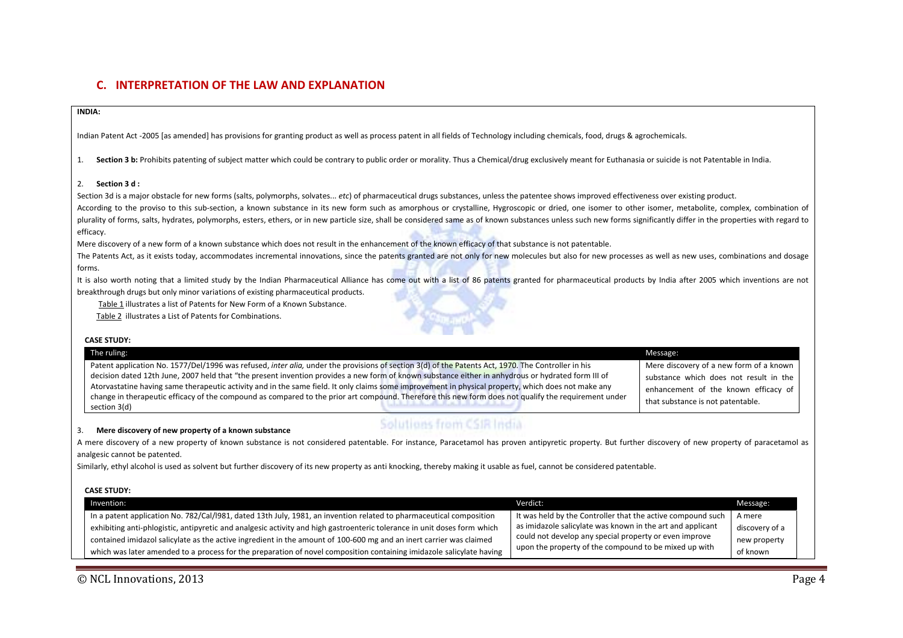# **C. INTERPRETATION OF THE LAW AND EXPLANATION**

#### **INDIA:**

Indian Patent Act ‐2005 [as amended] has provisions for granting product as well as process patent in all fields of Technology including chemicals, food, drugs & agrochemicals.

1. **Section 3 b:** Prohibits patenting of subject matter which could be contrary to public order or morality. Thus <sup>a</sup> Chemical/drug exclusively meant for Euthanasia or suicide is not Patentable in India.

#### 2. **Section 3 d :**

Section 3d is <sup>a</sup> major obstacle for new forms (salts, polymorphs, solvates... *etc*) of pharmaceutical drugs substances, unless the patentee shows improved effectiveness over existing product.

According to the proviso to this sub-section, a known substance in its new form such as amorphous or crystalline, Hygroscopic or dried, one isomer to other isomer, metabolite, complex, combination of plurality of forms, salts, hydrates, polymorphs, esters, ethers, or in new particle size, shall be considered same as of known substances unless such new forms significantly differ in the properties with regard to efficacy.

Mere discovery of <sup>a</sup> new form of <sup>a</sup> known substance which does not result in the enhancement of the known efficacy of that substance is not patentable.

The Patents Act, as it exists today, accommodates incremental innovations, since the patents granted are not only for new molecules but also for new processes as well as new uses, combinations and dosage forms.

It is also worth noting that a limited study by the Indian Pharmaceutical Alliance has come out with a list of 86 patents granted for pharmaceutical products by India after 2005 which inventions are not breakthrough drugs but only minor variations of existing pharmaceutical products.

Table 1 illustrates <sup>a</sup> list of Patents for New Form of <sup>a</sup> Known Substance.

Table 2 illustrates <sup>a</sup> List of Patents for Combinations.

| <b>CASE STUDY:</b>                                                                                                                                                                                                                                                                                          |                                         |
|-------------------------------------------------------------------------------------------------------------------------------------------------------------------------------------------------------------------------------------------------------------------------------------------------------------|-----------------------------------------|
| The ruling:                                                                                                                                                                                                                                                                                                 | Message:                                |
| Patent application No. 1577/Del/1996 was refused, inter alia, under the provisions of section 3(d) of the Patents Act, 1970. The Controller in his                                                                                                                                                          | Mere discovery of a new form of a known |
| decision dated 12th June, 2007 held that "the present invention provides a new form of known substance either in anhydrous or hydrated form III of                                                                                                                                                          | substance which does not result in the  |
| Atorvastatine having same therapeutic activity and in the same field. It only claims some improvement in physical property, which does not make any<br>change in therapeutic efficacy of the compound as compared to the prior art compound. Therefore this new form does not qualify the requirement under | enhancement of the known efficacy of    |
| section 3(d)                                                                                                                                                                                                                                                                                                | that substance is not patentable.       |
|                                                                                                                                                                                                                                                                                                             |                                         |

#### 3. **Mere discovery of new property of <sup>a</sup> known substance**

# Solutions from CSIR India

A mere discovery of a new property of known substance is not considered patentable. For instance, Paracetamol has proven antipyretic property. But further discovery of new property of paracetamol as analgesic cannot be patented.

Similarly, ethyl alcohol is used as solvent but further discovery of its new property as anti knocking, thereby making it usable as fuel, cannot be considered patentable.

#### **CASE STUDY:**

| Invention:                                                                                                               | Verdict:                                                    | Message:       |
|--------------------------------------------------------------------------------------------------------------------------|-------------------------------------------------------------|----------------|
| In a patent application No. 782/Cal/1981, dated 13th July, 1981, an invention related to pharmaceutical composition      | It was held by the Controller that the active compound such | A mere         |
| exhibiting anti-phlogistic, antipyretic and analgesic activity and high gastroenteric tolerance in unit doses form which | as imidazole salicylate was known in the art and applicant  | discovery of a |
| contained imidazol salicylate as the active ingredient in the amount of 100-600 mg and an inert carrier was claimed      | could not develop any special property or even improve      | new property   |
| which was later amended to a process for the preparation of novel composition containing imidazole salicylate having     | upon the property of the compound to be mixed up with       | of known       |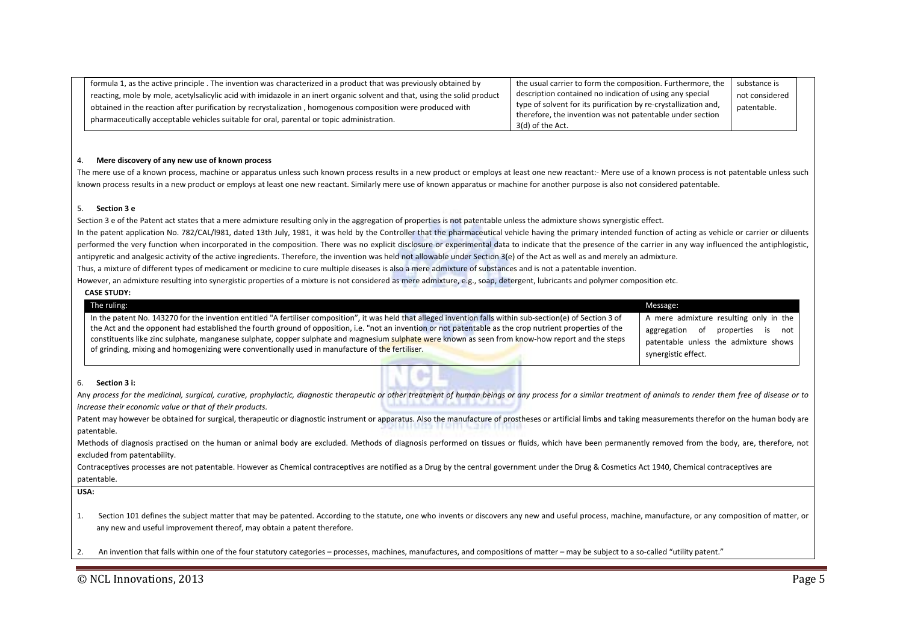| formula 1, as the active principle . The invention was characterized in a product that was previously obtained by         | the usual carrier to form the composition. Furthermore, the     | substance is   |  |
|---------------------------------------------------------------------------------------------------------------------------|-----------------------------------------------------------------|----------------|--|
| reacting, mole by mole, acetylsalicylic acid with imidazole in an inert organic solvent and that, using the solid product | description contained no indication of using any special        | not considered |  |
| obtained in the reaction after purification by recrystalization, homogenous composition were produced with                | type of solvent for its purification by re-crystallization and, | patentable.    |  |
| pharmaceutically acceptable vehicles suitable for oral, parental or topic administration.                                 | therefore, the invention was not patentable under section       |                |  |
|                                                                                                                           | 3(d) of the Act.                                                |                |  |

#### 4. **Mere discovery of any new use of known process**

The mere use of a known process, machine or apparatus unless such known process results in a new product or employs at least one new reactant:- Mere use of a known process is not patentable unless such known process results in <sup>a</sup> new product or employs at least one new reactant. Similarly mere use of known apparatus or machine for another purpose is also not considered patentable.

#### 5. **Section 3 <sup>e</sup>**

Section 3 <sup>e</sup> of the Patent act states that <sup>a</sup> mere admixture resulting only in the aggregation of properties is not patentable unless the admixture shows synergistic effect. In the patent application No. 782/CAL/l981, dated 13th July, 1981, it was held by the Controller that the pharmaceutical vehicle having the primary intended function of acting as vehicle or carrier or diluents performed the very function when incorporated in the composition. There was no explicit disclosure or experimental data to indicate that the presence of the carrier in any way influenced the antiphlogistic, antipyretic and analgesic activity of the active ingredients. Therefore, the invention was held not allowable under Section 3(e) of the Act as well as and merely an admixture. Thus, <sup>a</sup> mixture of different types of medicament or medicine to cure multiple diseases is also <sup>a</sup> mere admixture of substances and is not <sup>a</sup> patentable invention.

However, an admixture resulting into synergistic properties of a mixture is not considered as mere admixture, e.g., soap, detergent, lubricants and polymer composition etc.

| The ruling:                                                                                                                                                                                                                                                                                                                                                                                                                                                                                                                                                                         | Message:                                                                                                                                               |
|-------------------------------------------------------------------------------------------------------------------------------------------------------------------------------------------------------------------------------------------------------------------------------------------------------------------------------------------------------------------------------------------------------------------------------------------------------------------------------------------------------------------------------------------------------------------------------------|--------------------------------------------------------------------------------------------------------------------------------------------------------|
| In the patent No. 143270 for the invention entitled "A fertiliser composition", it was held that alleged invention falls within sub-section(e) of Section 3 of<br>the Act and the opponent had established the fourth ground of opposition, i.e. "not an invention or not patentable as the crop nutrient properties of the<br>constituents like zinc sulphate, manganese sulphate, copper sulphate and magnesium sulphate were known as seen from know-how report and the steps<br>of grinding, mixing and homogenizing were conventionally used in manufacture of the fertiliser. | A mere admixture resulting only in the<br>aggregation<br>of<br>properties<br>is<br>not<br>patentable unless the admixture shows<br>synergistic effect. |
| Section 3 i:<br>6.<br>Any process for the medicinal, surgical, curative, prophylactic, diagnostic therapeutic or other treatment of human beings or any process for a similar treatment of animals to render them free of disease or to<br>increase their economic value or that of their products.<br>Patent may however be obtained for surgical, therapeutic or diagnostic instrument or apparatus. Also the manufacture of prostheses or artificial limbs and taking measurements therefor on the human body are<br>patentable.                                                 |                                                                                                                                                        |

Contraceptives processes are not patentable. However as Chemical contraceptives are notified as a Drug by the central government under the Drug & Cosmetics Act 1940, Chemical contraceptives are patentable.

**USA:**

1.Section 101 defines the subject matter that may be patented. According to the statute, one who invents or discovers any new and useful process, machine, manufacture, or any composition of matter, or any new and useful improvement thereof, may obtain <sup>a</sup> patent therefore.

2.An invention that falls within one of the four statutory categories – processes, machines, manufactures, and compositions of matter – may be subject to <sup>a</sup> so‐called "utility patent."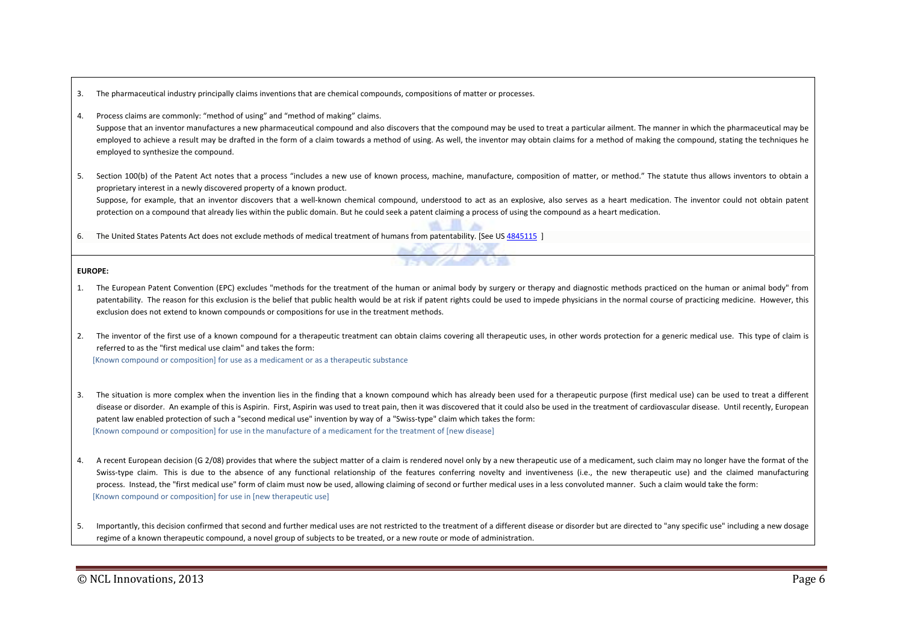- 3.The pharmaceutical industry principally claims inventions that are chemical compounds, compositions of matter or processes.
- 4.Process claims are commonly: "method of using" and "method of making" claims.

Suppose that an inventor manufactures a new pharmaceutical compound and also discovers that the compound may be used to treat a particular ailment. The manner in which the pharmaceutical may be employed to achieve a result may be drafted in the form of a claim towards a method of using. As well, the inventor may obtain claims for a method of making the compound, stating the techniques he employed to synthesize the compound.

5. Section 100(b) of the Patent Act notes that <sup>a</sup> process "includes <sup>a</sup> new use of known process, machine, manufacture, composition of matter, or method." The statute thus allows inventors to obtain <sup>a</sup> proprietary interest in <sup>a</sup> newly discovered property of <sup>a</sup> known product.

Suppose, for example, that an inventor discovers that a well-known chemical compound, understood to act as an explosive, also serves as a heart medication. The inventor could not obtain patent protection on <sup>a</sup> compound that already lies within the public domain. But he could seek <sup>a</sup> patent claiming <sup>a</sup> process of using the compound as <sup>a</sup> heart medication.

6.. The United States Patents Act does not exclude methods of medical treatment of humans from patentability. [See US 4845115 ]

**EUROPE:**

- 1. The European Patent Convention (EPC) excludes "methods for the treatment of the human or animal body by surgery or therapy and diagnostic methods practiced on the human or animal body" from patentability. The reason for this exclusion is the belief that public health would be at risk if patent rights could be used to impede physicians in the normal course of practicing medicine. However, this exclusion does not extend to known compounds or compositions for use in the treatment methods.
- 2. The inventor of the first use of <sup>a</sup> known compound for <sup>a</sup> therapeutic treatment can obtain claims covering all therapeutic uses, in other words protection for <sup>a</sup> generic medical use. This type of claim is referred to as the "first medical use claim" and takes the form:

[Known compound or composition] for use as <sup>a</sup> medicament or as <sup>a</sup> therapeutic substance

- 3. The situation is more complex when the invention lies in the finding that <sup>a</sup> known compound which has already been used for <sup>a</sup> therapeutic purpose (first medical use) can be used to treat <sup>a</sup> different disease or disorder. An example of this is Aspirin. First, Aspirin was used to treat pain, then it was discovered that it could also be used in the treatment of cardiovascular disease. Until recently, European patent law enabled protection of such a "second medical use" invention by way of a "Swiss-type" claim which takes the form: [Known compound or composition] for use in the manufacture of <sup>a</sup> medicament for the treatment of [new disease]
- 4.. A recent European decision (G 2/08) provides that where the subject matter of a claim is rendered novel only by a new therapeutic use of a medicament, such claim may no longer have the format of the Swiss-type claim. This is due to the absence of any functional relationship of the features conferring novelty and inventiveness (i.e., the new therapeutic use) and the claimed manufacturing process. Instead, the "first medical use" form of claim must now be used, allowing claiming of second or further medical uses in a less convoluted manner. Such a claim would take the form: [Known compound or composition] for use in [new therapeutic use]

5.Importantly, this decision confirmed that second and further medical uses are not restricted to the treatment of a different disease or disorder but are directed to "any specific use" including a new dosage regime of <sup>a</sup> known therapeutic compound, <sup>a</sup> novel group of subjects to be treated, or <sup>a</sup> new route or mode of administration.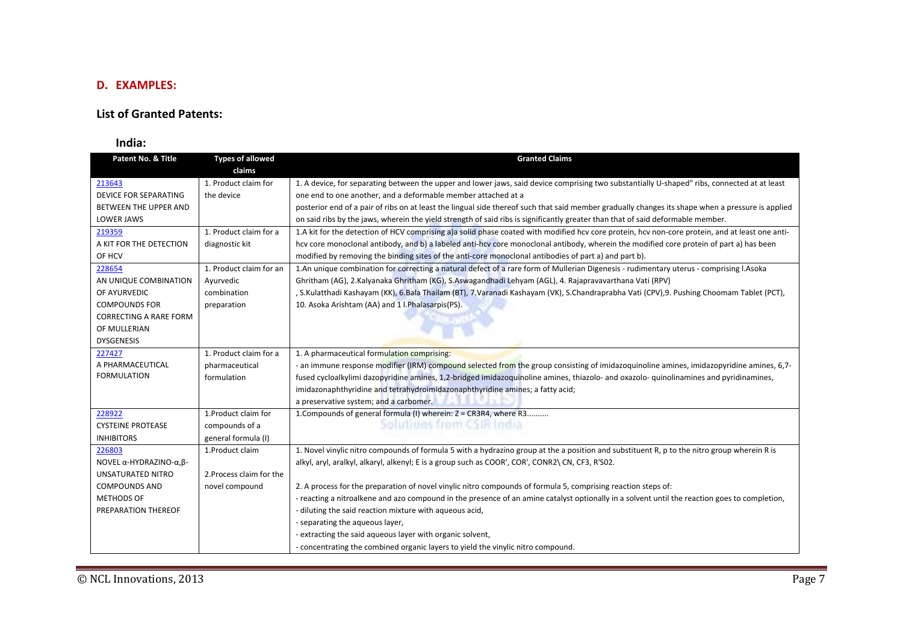# **D. EXAMPLES:**

### **List of Granted Patents:**

### **India:**

| Patent No. & Title           | <b>Types of allowed</b>  | <b>Granted Claims</b>                                                                                                                             |
|------------------------------|--------------------------|---------------------------------------------------------------------------------------------------------------------------------------------------|
|                              | claims                   |                                                                                                                                                   |
| 213643                       | 1. Product claim for     | 1. A device, for separating between the upper and lower jaws, said device comprising two substantially U-shaped" ribs, connected at at least      |
| <b>DEVICE FOR SEPARATING</b> | the device               | one end to one another, and a deformable member attached at a                                                                                     |
| BETWEEN THE UPPER AND        |                          | posterior end of a pair of ribs on at least the lingual side thereof such that said member gradually changes its shape when a pressure is applied |
| <b>LOWER JAWS</b>            |                          | on said ribs by the jaws, wherein the yield strength of said ribs is significantly greater than that of said deformable member.                   |
| 219359                       | 1. Product claim for a   | 1.A kit for the detection of HCV comprising a)a solid phase coated with modified hcv core protein, hcv non-core protein, and at least one anti-   |
| A KIT FOR THE DETECTION      | diagnostic kit           | hcv core monoclonal antibody, and b) a labeled anti-hcv core monoclonal antibody, wherein the modified core protein of part a) has been           |
| OF HCV                       |                          | modified by removing the binding sites of the anti-core monoclonal antibodies of part a) and part b).                                             |
| 228654                       | 1. Product claim for an  | 1.An unique combination for correcting a natural defect of a rare form of Mullerian Digenesis - rudimentary uterus - comprising l.Asoka           |
| AN UNIQUE COMBINATION        | Ayurvedic                | Ghritham (AG), 2. Kalyanaka Ghritham (KG), S. Aswagandhadi Lehyam (AGL), 4. Rajapravavarthana Vati (RPV)                                          |
| OF AYURVEDIC                 | combination              | , S.Kulatthadi Kashayam (KK), 6.Bala Thailam (BT), 7.Varanadi Kashayam (VK), S.Chandraprabha Vati (CPV), 9. Pushing Choomam Tablet (PCT),         |
| <b>COMPOUNDS FOR</b>         | preparation              | 10. Asoka Arishtam (AA) and 1 l. Phalasarpis(PS).                                                                                                 |
| CORRECTING A RARE FORM       |                          |                                                                                                                                                   |
| OF MULLERIAN                 |                          |                                                                                                                                                   |
| <b>DYSGENESIS</b>            |                          |                                                                                                                                                   |
| 227427                       | 1. Product claim for a   | 1. A pharmaceutical formulation comprising:                                                                                                       |
| A PHARMACEUTICAL             | pharmaceutical           | - an immune response modifier (IRM) compound selected from the group consisting of imidazoquinoline amines, imidazopyridine amines, 6,7-          |
| <b>FORMULATION</b>           | formulation              | fused cycloalkylimi dazopyridine amines, 1,2-bridged imidazoquinoline amines, thiazolo- and oxazolo- quinolinamines and pyridinamines,            |
|                              |                          | imidazonaphthyridine and tetrahydroimidazonaphthyridine amines; a fatty acid;                                                                     |
|                              |                          | a preservative system; and a carbomer.                                                                                                            |
| 228922                       | 1. Product claim for     | 1. Compounds of general formula (I) wherein: Z = CR3R4, where R3                                                                                  |
| <b>CYSTEINE PROTEASE</b>     | compounds of a           | Solutions from CSIR India                                                                                                                         |
| <b>INHIBITORS</b>            | general formula (I)      |                                                                                                                                                   |
| 226803                       | 1.Product claim          | 1. Novel vinylic nitro compounds of formula 5 with a hydrazino group at the a position and substituent R, p to the nitro group wherein R is       |
| NOVEL α-HYDRAZINO-α, β-      |                          | alkyl, aryl, aralkyl, alkaryl, alkenyl; E is a group such as COOR', COR', CONR2\CN, CF3, R'S02.                                                   |
| <b>UNSATURATED NITRO</b>     | 2. Process claim for the |                                                                                                                                                   |
| <b>COMPOUNDS AND</b>         | novel compound           | 2. A process for the preparation of novel vinylic nitro compounds of formula 5, comprising reaction steps of:                                     |
| METHODS OF                   |                          | - reacting a nitroalkene and azo compound in the presence of an amine catalyst optionally in a solvent until the reaction goes to completion,     |
| PREPARATION THEREOF          |                          | - diluting the said reaction mixture with aqueous acid,                                                                                           |
|                              |                          | - separating the aqueous layer,                                                                                                                   |
|                              |                          | - extracting the said aqueous layer with organic solvent,                                                                                         |
|                              |                          | - concentrating the combined organic layers to yield the vinylic nitro compound.                                                                  |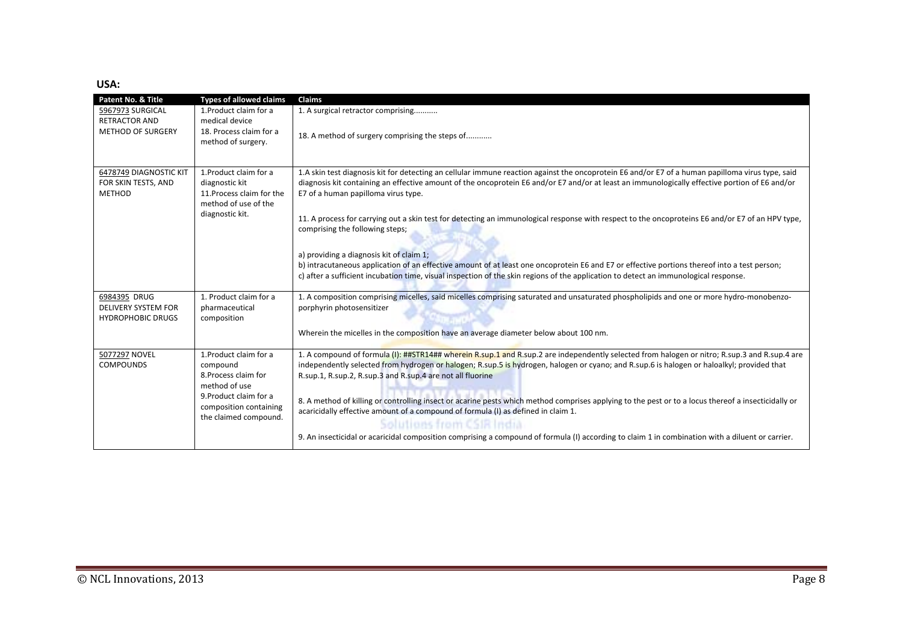### **USA:**

| <b>Patent No. &amp; Title</b> | <b>Types of allowed claims</b> | <b>Claims</b>                                                                                                                                       |
|-------------------------------|--------------------------------|-----------------------------------------------------------------------------------------------------------------------------------------------------|
| 5967973 SURGICAL              | 1. Product claim for a         | 1. A surgical retractor comprising                                                                                                                  |
| <b>RETRACTOR AND</b>          | medical device                 |                                                                                                                                                     |
| <b>METHOD OF SURGERY</b>      | 18. Process claim for a        |                                                                                                                                                     |
|                               | method of surgery.             | 18. A method of surgery comprising the steps of                                                                                                     |
|                               |                                |                                                                                                                                                     |
|                               |                                |                                                                                                                                                     |
| 6478749 DIAGNOSTIC KIT        | 1. Product claim for a         | 1.A skin test diagnosis kit for detecting an cellular immune reaction against the oncoprotein E6 and/or E7 of a human papilloma virus type, said    |
| FOR SKIN TESTS, AND           | diagnostic kit                 | diagnosis kit containing an effective amount of the oncoprotein E6 and/or E7 and/or at least an immunologically effective portion of E6 and/or      |
| <b>METHOD</b>                 | 11. Process claim for the      | E7 of a human papilloma virus type.                                                                                                                 |
|                               | method of use of the           |                                                                                                                                                     |
|                               | diagnostic kit.                |                                                                                                                                                     |
|                               |                                | 11. A process for carrying out a skin test for detecting an immunological response with respect to the oncoproteins E6 and/or E7 of an HPV type,    |
|                               |                                | comprising the following steps;                                                                                                                     |
|                               |                                |                                                                                                                                                     |
|                               |                                | a) providing a diagnosis kit of claim 1;                                                                                                            |
|                               |                                | b) intracutaneous application of an effective amount of at least one oncoprotein E6 and E7 or effective portions thereof into a test person;        |
|                               |                                | c) after a sufficient incubation time, visual inspection of the skin regions of the application to detect an immunological response.                |
|                               |                                |                                                                                                                                                     |
| 6984395 DRUG                  | 1. Product claim for a         | 1. A composition comprising micelles, said micelles comprising saturated and unsaturated phospholipids and one or more hydro-monobenzo-             |
| <b>DELIVERY SYSTEM FOR</b>    | pharmaceutical                 | porphyrin photosensitizer                                                                                                                           |
| <b>HYDROPHOBIC DRUGS</b>      | composition                    |                                                                                                                                                     |
|                               |                                |                                                                                                                                                     |
|                               |                                | Wherein the micelles in the composition have an average diameter below about 100 nm.                                                                |
|                               |                                |                                                                                                                                                     |
| 5077297 NOVEL                 | 1. Product claim for a         | 1. A compound of formula (I): ##STR14## wherein R.sup.1 and R.sup.2 are independently selected from halogen or nitro; R.sup.3 and R.sup.4 are       |
| <b>COMPOUNDS</b>              | compound                       | independently selected from hydrogen or halogen; R.sup.5 is hydrogen, halogen or cyano; and R.sup.6 is halogen or haloalkyl; provided that          |
|                               | 8. Process claim for           | R.sup.1, R.sup.2, R.sup.3 and R.sup.4 are not all fluorine                                                                                          |
|                               | method of use                  |                                                                                                                                                     |
|                               | 9. Product claim for a         | 8. A method of killing or controlling insect or acarine pests which method comprises applying to the pest or to a locus thereof a insecticidally or |
|                               | composition containing         | acaricidally effective amount of a compound of formula (I) as defined in claim 1.                                                                   |
|                               | the claimed compound.          | Solutions from CSIR India                                                                                                                           |
|                               |                                |                                                                                                                                                     |
|                               |                                | 9. An insecticidal or acaricidal composition comprising a compound of formula (I) according to claim 1 in combination with a diluent or carrier.    |
|                               |                                |                                                                                                                                                     |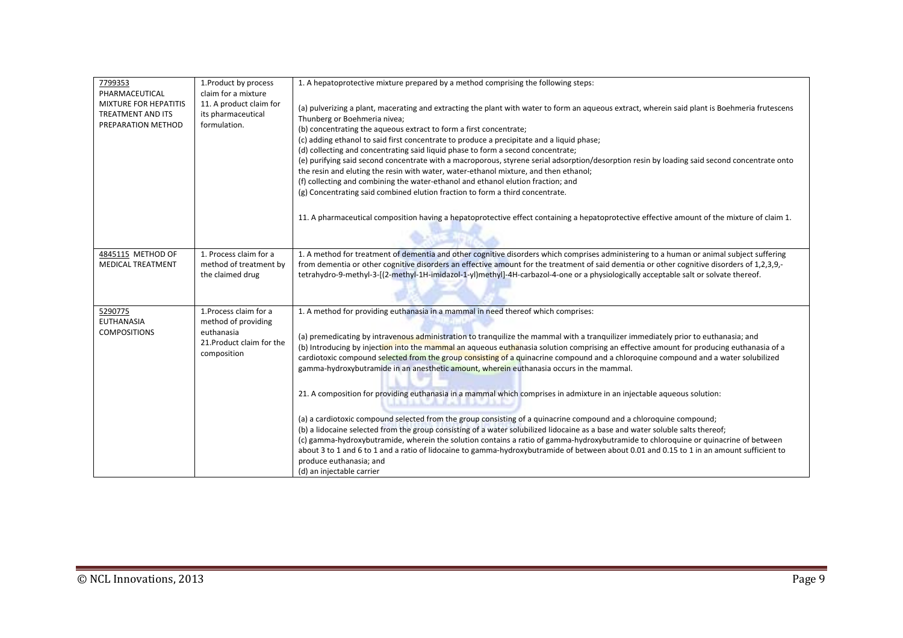| 1. Product by process<br>claim for a mixture<br>11. A product claim for<br>its pharmaceutical<br>formulation. | 1. A hepatoprotective mixture prepared by a method comprising the following steps:<br>(a) pulverizing a plant, macerating and extracting the plant with water to form an aqueous extract, wherein said plant is Boehmeria frutescens<br>Thunberg or Boehmeria nivea;<br>(b) concentrating the aqueous extract to form a first concentrate;<br>(c) adding ethanol to said first concentrate to produce a precipitate and a liquid phase;<br>(d) collecting and concentrating said liquid phase to form a second concentrate;<br>(e) purifying said second concentrate with a macroporous, styrene serial adsorption/desorption resin by loading said second concentrate onto<br>the resin and eluting the resin with water, water-ethanol mixture, and then ethanol;<br>(f) collecting and combining the water-ethanol and ethanol elution fraction; and                                                                                                                                                                                                                                                                                                                                                                                                                                                 |
|---------------------------------------------------------------------------------------------------------------|---------------------------------------------------------------------------------------------------------------------------------------------------------------------------------------------------------------------------------------------------------------------------------------------------------------------------------------------------------------------------------------------------------------------------------------------------------------------------------------------------------------------------------------------------------------------------------------------------------------------------------------------------------------------------------------------------------------------------------------------------------------------------------------------------------------------------------------------------------------------------------------------------------------------------------------------------------------------------------------------------------------------------------------------------------------------------------------------------------------------------------------------------------------------------------------------------------------------------------------------------------------------------------------------------------|
|                                                                                                               | (g) Concentrating said combined elution fraction to form a third concentrate.<br>11. A pharmaceutical composition having a hepatoprotective effect containing a hepatoprotective effective amount of the mixture of claim 1.                                                                                                                                                                                                                                                                                                                                                                                                                                                                                                                                                                                                                                                                                                                                                                                                                                                                                                                                                                                                                                                                            |
| 1. Process claim for a<br>method of treatment by<br>the claimed drug                                          | 1. A method for treatment of dementia and other cognitive disorders which comprises administering to a human or animal subject suffering<br>from dementia or other cognitive disorders an effective amount for the treatment of said dementia or other cognitive disorders of 1,2,3,9,-<br>tetrahydro-9-methyl-3-[(2-methyl-1H-imidazol-1-yl)methyl]-4H-carbazol-4-one or a physiologically acceptable salt or solvate thereof.                                                                                                                                                                                                                                                                                                                                                                                                                                                                                                                                                                                                                                                                                                                                                                                                                                                                         |
| 1. Process claim for a<br>method of providing<br>euthanasia<br>21. Product claim for the<br>composition       | 1. A method for providing euthanasia in a mammal in need thereof which comprises:<br>(a) premedicating by intravenous administration to tranquilize the mammal with a tranquilizer immediately prior to euthanasia; and<br>(b) Introducing by injection into the mammal an aqueous euthanasia solution comprising an effective amount for producing euthanasia of a<br>cardiotoxic compound selected from the group consisting of a quinacrine compound and a chloroquine compound and a water solubilized<br>gamma-hydroxybutramide in an anesthetic amount, wherein euthanasia occurs in the mammal.<br>21. A composition for providing euthanasia in a mammal which comprises in admixture in an injectable aqueous solution:<br>(a) a cardiotoxic compound selected from the group consisting of a quinacrine compound and a chloroquine compound;<br>(b) a lidocaine selected from the group consisting of a water solubilized lidocaine as a base and water soluble salts thereof;<br>(c) gamma-hydroxybutramide, wherein the solution contains a ratio of gamma-hydroxybutramide to chloroquine or quinacrine of between<br>about 3 to 1 and 6 to 1 and a ratio of lidocaine to gamma-hydroxybutramide of between about 0.01 and 0.15 to 1 in an amount sufficient to<br>produce euthanasia; and |
|                                                                                                               |                                                                                                                                                                                                                                                                                                                                                                                                                                                                                                                                                                                                                                                                                                                                                                                                                                                                                                                                                                                                                                                                                                                                                                                                                                                                                                         |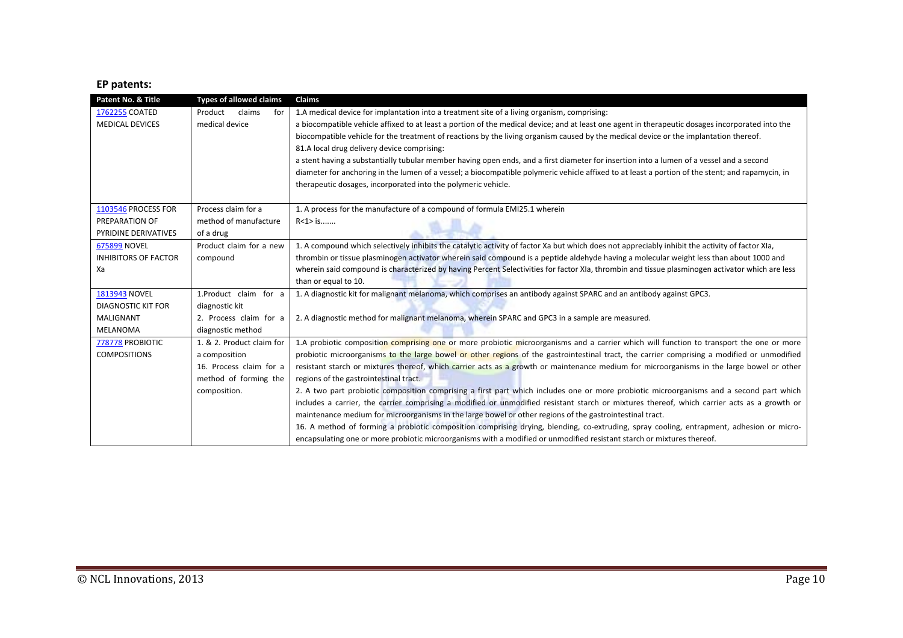### **EP patents:**

| Patent No. & Title          | <b>Types of allowed claims</b> | Claims                                                                                                                                           |
|-----------------------------|--------------------------------|--------------------------------------------------------------------------------------------------------------------------------------------------|
| 1762255 COATED              | claims<br>Product<br>for       | 1.A medical device for implantation into a treatment site of a living organism, comprising:                                                      |
| <b>MEDICAL DEVICES</b>      | medical device                 | a biocompatible vehicle affixed to at least a portion of the medical device; and at least one agent in therapeutic dosages incorporated into the |
|                             |                                | biocompatible vehicle for the treatment of reactions by the living organism caused by the medical device or the implantation thereof.            |
|                             |                                | 81.A local drug delivery device comprising:                                                                                                      |
|                             |                                | a stent having a substantially tubular member having open ends, and a first diameter for insertion into a lumen of a vessel and a second         |
|                             |                                | diameter for anchoring in the lumen of a vessel; a biocompatible polymeric vehicle affixed to at least a portion of the stent; and rapamycin, in |
|                             |                                | therapeutic dosages, incorporated into the polymeric vehicle.                                                                                    |
|                             |                                |                                                                                                                                                  |
| 1103546 PROCESS FOR         | Process claim for a            | 1. A process for the manufacture of a compound of formula EMI25.1 wherein                                                                        |
| PREPARATION OF              | method of manufacture          | $R < 1 > i$ s                                                                                                                                    |
| PYRIDINE DERIVATIVES        | of a drug                      |                                                                                                                                                  |
| <b>675899 NOVEL</b>         | Product claim for a new        | 1. A compound which selectively inhibits the catalytic activity of factor Xa but which does not appreciably inhibit the activity of factor XIa,  |
| <b>INHIBITORS OF FACTOR</b> | compound                       | thrombin or tissue plasminogen activator wherein said compound is a peptide aldehyde having a molecular weight less than about 1000 and          |
| Xa                          |                                | wherein said compound is characterized by having Percent Selectivities for factor XIa, thrombin and tissue plasminogen activator which are less  |
|                             |                                | than or equal to 10.                                                                                                                             |
| 1813943 NOVEL               | 1.Product claim for a          | 1. A diagnostic kit for malignant melanoma, which comprises an antibody against SPARC and an antibody against GPC3.                              |
| <b>DIAGNOSTIC KIT FOR</b>   | diagnostic kit                 |                                                                                                                                                  |
| <b>MALIGNANT</b>            | 2. Process claim for a         | 2. A diagnostic method for malignant melanoma, wherein SPARC and GPC3 in a sample are measured.                                                  |
| <b>MELANOMA</b>             | diagnostic method              |                                                                                                                                                  |
| 778778 PROBIOTIC            | 1. & 2. Product claim for      | 1.A probiotic composition comprising one or more probiotic microorganisms and a carrier which will function to transport the one or more         |
| <b>COMPOSITIONS</b>         | a composition                  | probiotic microorganisms to the large bowel or other regions of the gastrointestinal tract, the carrier comprising a modified or unmodified      |
|                             | 16. Process claim for a        | resistant starch or mixtures thereof, which carrier acts as a growth or maintenance medium for microorganisms in the large bowel or other        |
|                             | method of forming the          | regions of the gastrointestinal tract.                                                                                                           |
|                             | composition.                   | 2. A two part probiotic composition comprising a first part which includes one or more probiotic microorganisms and a second part which          |
|                             |                                | includes a carrier, the carrier comprising a modified or unmodified resistant starch or mixtures thereof, which carrier acts as a growth or      |
|                             |                                | maintenance medium for microorganisms in the large bowel or other regions of the gastrointestinal tract.                                         |
|                             |                                | 16. A method of forming a probiotic composition comprising drying, blending, co-extruding, spray cooling, entrapment, adhesion or micro-         |
|                             |                                | encapsulating one or more probiotic microorganisms with a modified or unmodified resistant starch or mixtures thereof.                           |